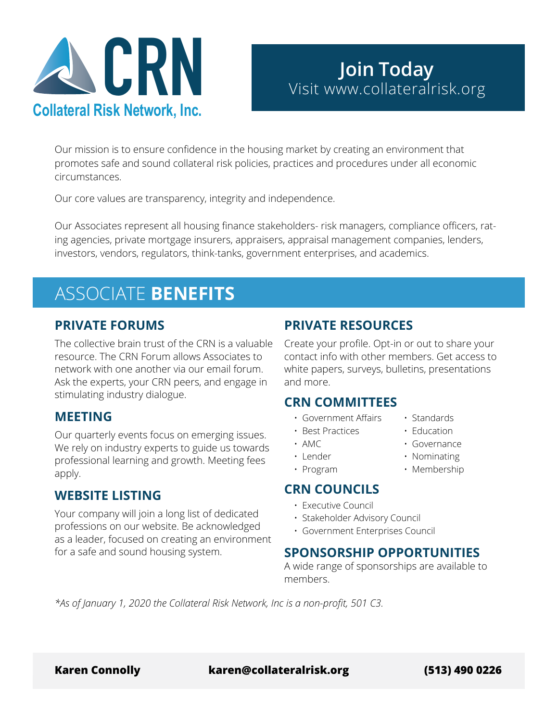

Our mission is to ensure confidence in the housing market by creating an environment that promotes safe and sound collateral risk policies, practices and procedures under all economic circumstances.

Our core values are transparency, integrity and independence.

Our Associates represent all housing finance stakeholders- risk managers, compliance officers, rating agencies, private mortgage insurers, appraisers, appraisal management companies, lenders, investors, vendors, regulators, think-tanks, government enterprises, and academics.

# ASSOCIATE **BENEFITS**

#### **PRIVATE FORUMS**

The collective brain trust of the CRN is a valuable resource. The CRN Forum allows Associates to network with one another via our email forum. Ask the experts, your CRN peers, and engage in stimulating industry dialogue.

### **MEETING**

Our quarterly events focus on emerging issues. We rely on industry experts to guide us towards professional learning and growth. Meeting fees apply.

### **WEBSITE LISTING**

Your company will join a long list of dedicated professions on our website. Be acknowledged as a leader, focused on creating an environment for a safe and sound housing system.

### **PRIVATE RESOURCES**

Create your profile. Opt-in or out to share your contact info with other members. Get access to white papers, surveys, bulletins, presentations and more.

#### **CRN COMMITTEES**

- Government Affairs
- Best Practices
- AMC
- Lender
- Program

### **CRN COUNCILS**

- Executive Council
- Stakeholder Advisory Council
- Government Enterprises Council

### **SPONSORSHIP OPPORTUNITIES**

A wide range of sponsorships are available to members.

*\*As of January 1, 2020 the Collateral Risk Network, Inc is a non-profit, 501 C3.*

**Karen Connolly karen@collateralrisk.org (513) 490 0226**

- Education
- Governance

• Standards

- Nominating
- Membership
	-